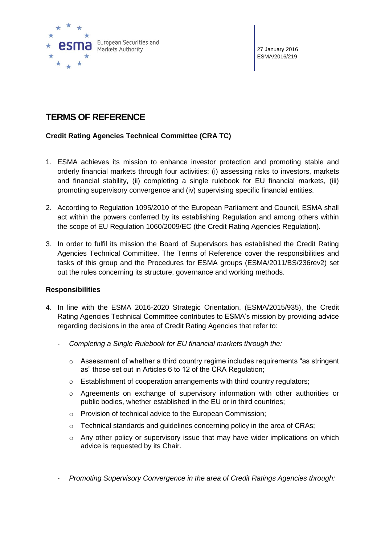

27 January 2016 ESMA/2016/219

# **TERMS OF REFERENCE**

## **Credit Rating Agencies Technical Committee (CRA TC)**

- 1. ESMA achieves its mission to enhance investor protection and promoting stable and orderly financial markets through four activities: (i) assessing risks to investors, markets and financial stability, (ii) completing a single rulebook for EU financial markets, (iii) promoting supervisory convergence and (iv) supervising specific financial entities.
- 2. According to Regulation 1095/2010 of the European Parliament and Council, ESMA shall act within the powers conferred by its establishing Regulation and among others within the scope of EU Regulation 1060/2009/EC (the Credit Rating Agencies Regulation).
- 3. In order to fulfil its mission the Board of Supervisors has established the Credit Rating Agencies Technical Committee. The Terms of Reference cover the responsibilities and tasks of this group and the Procedures for ESMA groups (ESMA/2011/BS/236rev2) set out the rules concerning its structure, governance and working methods.

## **Responsibilities**

- 4. In line with the ESMA 2016-2020 Strategic Orientation, (ESMA/2015/935), the Credit Rating Agencies Technical Committee contributes to ESMA's mission by providing advice regarding decisions in the area of Credit Rating Agencies that refer to:
	- *Completing a Single Rulebook for EU financial markets through the:*
		- o Assessment of whether a third country regime includes requirements "as stringent as" those set out in Articles 6 to 12 of the CRA Regulation;
		- o Establishment of cooperation arrangements with third country regulators;
		- o Agreements on exchange of supervisory information with other authorities or public bodies, whether established in the EU or in third countries;
		- o Provision of technical advice to the European Commission;
		- $\circ$  Technical standards and quidelines concerning policy in the area of CRAs;
		- $\circ$  Any other policy or supervisory issue that may have wider implications on which advice is requested by its Chair.
	- *Promoting Supervisory Convergence in the area of Credit Ratings Agencies through:*